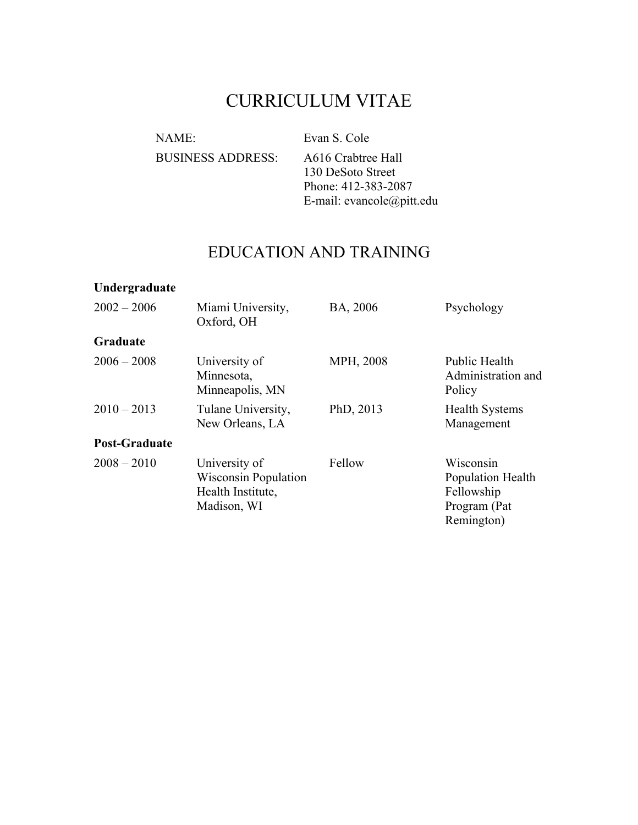# CURRICULUM VITAE

NAME: Evan S. Cole

BUSINESS ADDRESS: A616 Crabtree Hall

130 DeSoto Street Phone: 412-383-2087 E-mail: evancole@pitt.edu

# EDUCATION AND TRAINING

### **Undergraduate**

| $2002 - 2006$        | Miami University,<br>Oxford, OH                                                  | BA, 2006  | Psychology                                                                 |
|----------------------|----------------------------------------------------------------------------------|-----------|----------------------------------------------------------------------------|
| Graduate             |                                                                                  |           |                                                                            |
| $2006 - 2008$        | University of<br>Minnesota,<br>Minneapolis, MN                                   | MPH, 2008 | <b>Public Health</b><br>Administration and<br>Policy                       |
| $2010 - 2013$        | Tulane University,<br>New Orleans, LA                                            | PhD, 2013 | <b>Health Systems</b><br>Management                                        |
| <b>Post-Graduate</b> |                                                                                  |           |                                                                            |
| $2008 - 2010$        | University of<br><b>Wisconsin Population</b><br>Health Institute,<br>Madison, WI | Fellow    | Wisconsin<br>Population Health<br>Fellowship<br>Program (Pat<br>Remington) |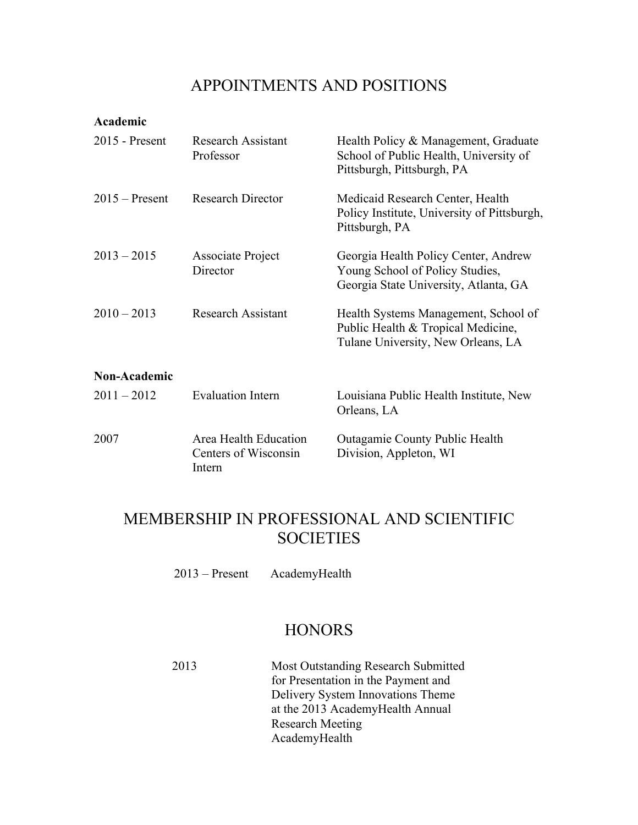## APPOINTMENTS AND POSITIONS

#### **Academic**

| $2015$ - Present    | <b>Research Assistant</b><br>Professor                  | Health Policy & Management, Graduate<br>School of Public Health, University of<br>Pittsburgh, Pittsburgh, PA     |
|---------------------|---------------------------------------------------------|------------------------------------------------------------------------------------------------------------------|
| $2015 -$ Present    | <b>Research Director</b>                                | Medicaid Research Center, Health<br>Policy Institute, University of Pittsburgh,<br>Pittsburgh, PA                |
| $2013 - 2015$       | Associate Project<br>Director                           | Georgia Health Policy Center, Andrew<br>Young School of Policy Studies,<br>Georgia State University, Atlanta, GA |
| $2010 - 2013$       | <b>Research Assistant</b>                               | Health Systems Management, School of<br>Public Health & Tropical Medicine,<br>Tulane University, New Orleans, LA |
| <b>Non-Academic</b> |                                                         |                                                                                                                  |
| $2011 - 2012$       | <b>Evaluation Intern</b>                                | Louisiana Public Health Institute, New<br>Orleans, LA                                                            |
| 2007                | Area Health Education<br>Centers of Wisconsin<br>Intern | <b>Outagamie County Public Health</b><br>Division, Appleton, WI                                                  |

# MEMBERSHIP IN PROFESSIONAL AND SCIENTIFIC **SOCIETIES**

2013 – Present AcademyHealth

## **HONORS**

2013 Most Outstanding Research Submitted for Presentation in the Payment and Delivery System Innovations Theme at the 2013 AcademyHealth Annual Research Meeting AcademyHealth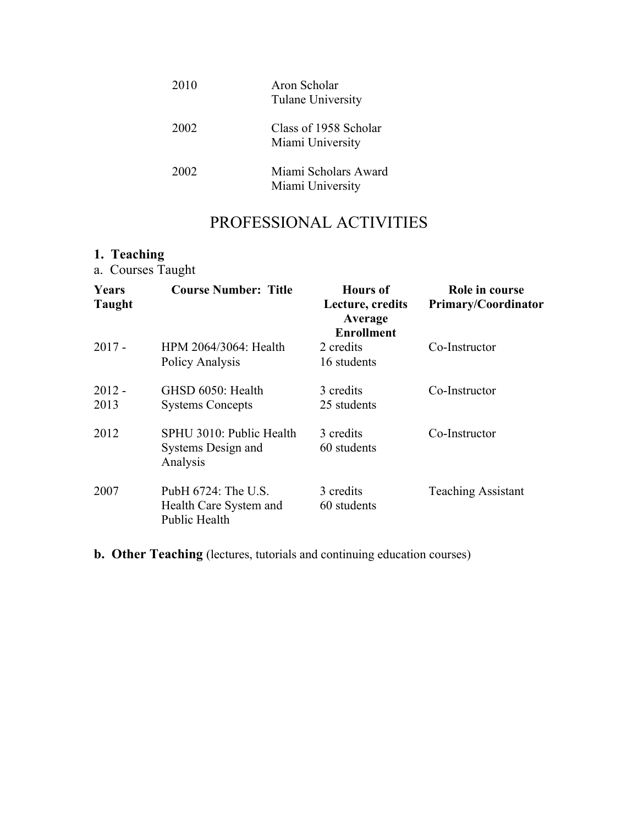| 2010 | Aron Scholar<br>Tulane University         |
|------|-------------------------------------------|
| 2002 | Class of 1958 Scholar<br>Miami University |
| 2002 | Miami Scholars Award<br>Miami University  |

# PROFESSIONAL ACTIVITIES

# **1. Teaching**

a. Courses Taught

| <b>Years</b><br><b>Taught</b> | <b>Course Number: Title</b>                                    | <b>Hours</b> of<br>Lecture, credits<br>Average<br><b>Enrollment</b> | Role in course<br><b>Primary/Coordinator</b> |
|-------------------------------|----------------------------------------------------------------|---------------------------------------------------------------------|----------------------------------------------|
| $2017 -$                      | HPM 2064/3064: Health<br>Policy Analysis                       | 2 credits<br>16 students                                            | Co-Instructor                                |
| $2012 -$<br>2013              | GHSD 6050: Health<br><b>Systems Concepts</b>                   | 3 credits<br>25 students                                            | Co-Instructor                                |
| 2012                          | SPHU 3010: Public Health<br>Systems Design and<br>Analysis     | 3 credits<br>60 students                                            | Co-Instructor                                |
| 2007                          | PubH 6724: The U.S.<br>Health Care System and<br>Public Health | 3 credits<br>60 students                                            | <b>Teaching Assistant</b>                    |

**b. Other Teaching** (lectures, tutorials and continuing education courses)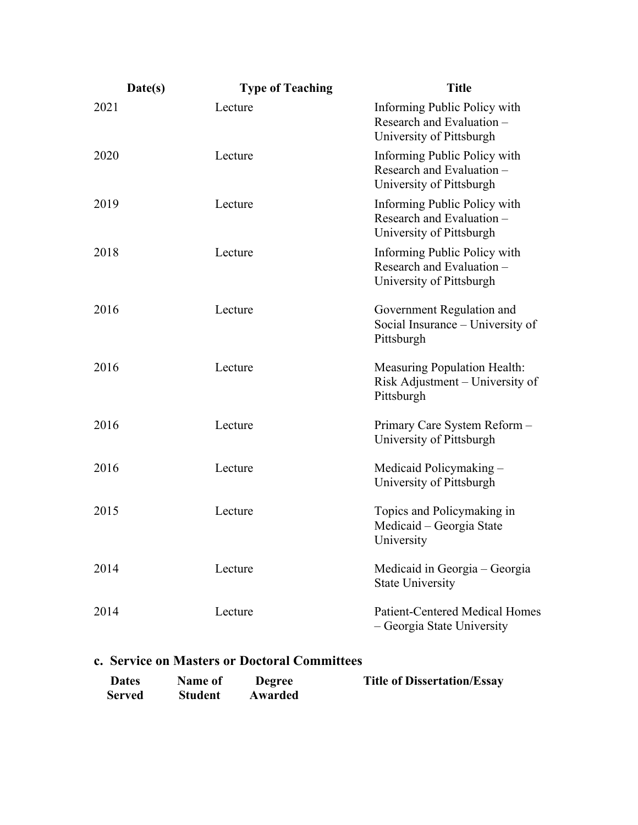| Date(s) | <b>Type of Teaching</b> | <b>Title</b>                                                                          |
|---------|-------------------------|---------------------------------------------------------------------------------------|
| 2021    | Lecture                 | Informing Public Policy with<br>Research and Evaluation -<br>University of Pittsburgh |
| 2020    | Lecture                 | Informing Public Policy with<br>Research and Evaluation -<br>University of Pittsburgh |
| 2019    | Lecture                 | Informing Public Policy with<br>Research and Evaluation -<br>University of Pittsburgh |
| 2018    | Lecture                 | Informing Public Policy with<br>Research and Evaluation -<br>University of Pittsburgh |
| 2016    | Lecture                 | Government Regulation and<br>Social Insurance – University of<br>Pittsburgh           |
| 2016    | Lecture                 | <b>Measuring Population Health:</b><br>Risk Adjustment – University of<br>Pittsburgh  |
| 2016    | Lecture                 | Primary Care System Reform-<br>University of Pittsburgh                               |
| 2016    | Lecture                 | Medicaid Policymaking -<br>University of Pittsburgh                                   |
| 2015    | Lecture                 | Topics and Policymaking in<br>Medicaid – Georgia State<br>University                  |
| 2014    | Lecture                 | Medicaid in Georgia – Georgia<br><b>State University</b>                              |
| 2014    | Lecture                 | <b>Patient-Centered Medical Homes</b><br>- Georgia State University                   |

### **c. Service on Masters or Doctoral Committees**

| <b>Dates</b>  | <b>Name of</b> | Degree  | <b>Title of Dissertation/Essay</b> |
|---------------|----------------|---------|------------------------------------|
| <b>Served</b> | <b>Student</b> | Awarded |                                    |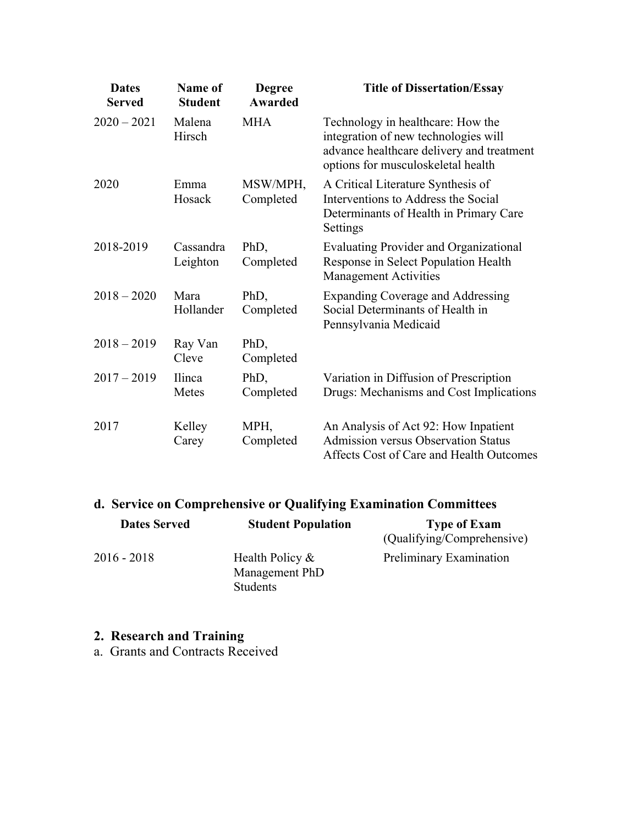| <b>Dates</b><br><b>Served</b> | <b>Name of</b><br><b>Student</b> | <b>Degree</b><br><b>Awarded</b> | <b>Title of Dissertation/Essay</b>                                                                                                                           |
|-------------------------------|----------------------------------|---------------------------------|--------------------------------------------------------------------------------------------------------------------------------------------------------------|
| $2020 - 2021$                 | Malena<br>Hirsch                 | <b>MHA</b>                      | Technology in healthcare: How the<br>integration of new technologies will<br>advance healthcare delivery and treatment<br>options for musculoskeletal health |
| 2020                          | Emma<br>Hosack                   | MSW/MPH,<br>Completed           | A Critical Literature Synthesis of<br>Interventions to Address the Social<br>Determinants of Health in Primary Care<br>Settings                              |
| 2018-2019                     | Cassandra<br>Leighton            | PhD,<br>Completed               | <b>Evaluating Provider and Organizational</b><br>Response in Select Population Health<br><b>Management Activities</b>                                        |
| $2018 - 2020$                 | Mara<br>Hollander                | PhD,<br>Completed               | <b>Expanding Coverage and Addressing</b><br>Social Determinants of Health in<br>Pennsylvania Medicaid                                                        |
| $2018 - 2019$                 | Ray Van<br>Cleve                 | PhD,<br>Completed               |                                                                                                                                                              |
| $2017 - 2019$                 | Ilinca<br>Metes                  | PhD,<br>Completed               | Variation in Diffusion of Prescription<br>Drugs: Mechanisms and Cost Implications                                                                            |
| 2017                          | Kelley<br>Carey                  | MPH,<br>Completed               | An Analysis of Act 92: How Inpatient<br><b>Admission versus Observation Status</b><br>Affects Cost of Care and Health Outcomes                               |

# **d. Service on Comprehensive or Qualifying Examination Committees**

| <b>Dates Served</b> | <b>Student Population</b>                        | <b>Type of Exam</b><br>(Qualifying/Comprehensive) |
|---------------------|--------------------------------------------------|---------------------------------------------------|
| $2016 - 2018$       | Health Policy $\&$<br>Management PhD<br>Students | Preliminary Examination                           |

#### **2. Research and Training**

a. Grants and Contracts Received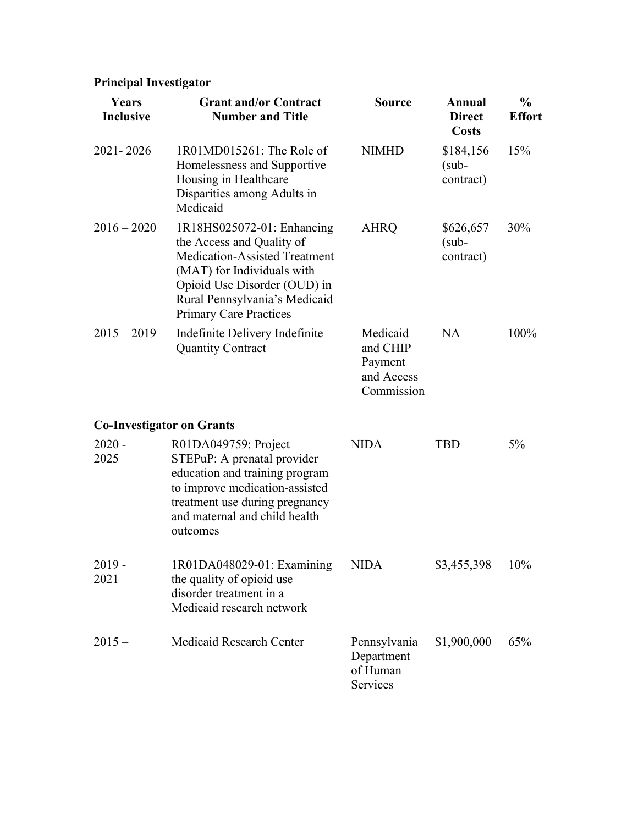## **Principal Investigator**

| Years<br><b>Inclusive</b>        | <b>Grant and/or Contract</b><br><b>Number and Title</b>                                                                                                                                                                         | <b>Source</b>                                               | Annual<br><b>Direct</b><br><b>Costs</b> | $\frac{0}{0}$<br><b>Effort</b> |
|----------------------------------|---------------------------------------------------------------------------------------------------------------------------------------------------------------------------------------------------------------------------------|-------------------------------------------------------------|-----------------------------------------|--------------------------------|
| 2021-2026                        | 1R01MD015261: The Role of<br>Homelessness and Supportive<br>Housing in Healthcare<br>Disparities among Adults in<br>Medicaid                                                                                                    | <b>NIMHD</b>                                                | \$184,156<br>$(sub -$<br>contract)      | 15%                            |
| $2016 - 2020$                    | 1R18HS025072-01: Enhancing<br>the Access and Quality of<br><b>Medication-Assisted Treatment</b><br>(MAT) for Individuals with<br>Opioid Use Disorder (OUD) in<br>Rural Pennsylvania's Medicaid<br><b>Primary Care Practices</b> | <b>AHRQ</b>                                                 | \$626,657<br>$(sub-$<br>contract)       | 30%                            |
| $2015 - 2019$                    | Indefinite Delivery Indefinite<br><b>Quantity Contract</b>                                                                                                                                                                      | Medicaid<br>and CHIP<br>Payment<br>and Access<br>Commission | NA                                      | 100%                           |
| <b>Co-Investigator on Grants</b> |                                                                                                                                                                                                                                 |                                                             |                                         |                                |
| $2020 -$<br>2025                 | R01DA049759: Project<br>STEPuP: A prenatal provider<br>education and training program<br>to improve medication-assisted<br>treatment use during pregnancy<br>and maternal and child health<br>outcomes                          | <b>NIDA</b>                                                 | <b>TBD</b>                              | 5%                             |
| $2019 -$<br>2021                 | 1R01DA048029-01: Examining<br>the quality of opioid use<br>disorder treatment in a<br>Medicaid research network                                                                                                                 | NIDA                                                        | \$3,455,398                             | 10%                            |
| $2015 -$                         | <b>Medicaid Research Center</b>                                                                                                                                                                                                 | Pennsylvania<br>Department<br>of Human<br>Services          | \$1,900,000                             | 65%                            |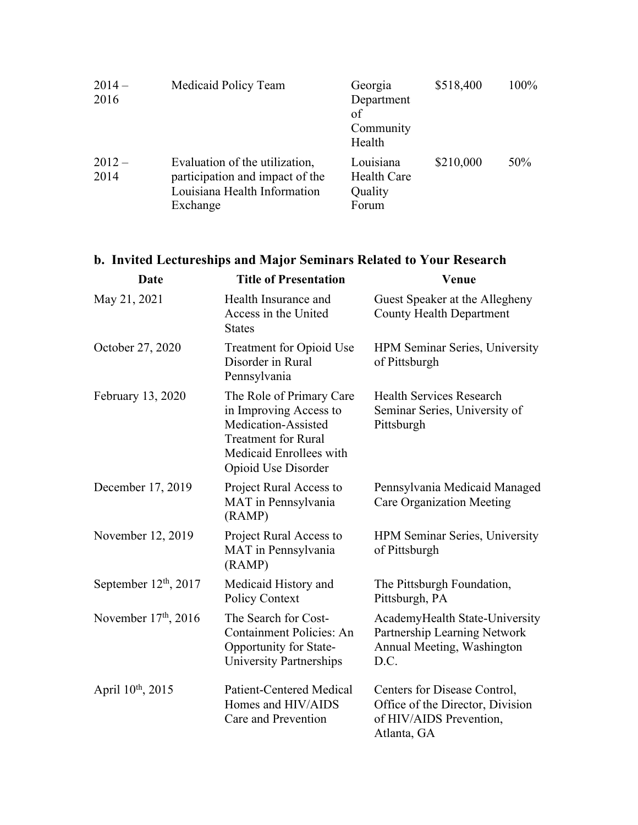| $2014-$<br>2016  | Medicaid Policy Team                                                                                          | Georgia<br>Department<br>of<br>Community<br>Health  | \$518,400 | 100% |
|------------------|---------------------------------------------------------------------------------------------------------------|-----------------------------------------------------|-----------|------|
| $2012 -$<br>2014 | Evaluation of the utilization,<br>participation and impact of the<br>Louisiana Health Information<br>Exchange | Louisiana<br><b>Health Care</b><br>Quality<br>Forum | \$210,000 | 50%  |

# **b. Invited Lectureships and Major Seminars Related to Your Research**

| Date                          | <b>Title of Presentation</b>                                                                                                                              | Venue                                                                                                      |
|-------------------------------|-----------------------------------------------------------------------------------------------------------------------------------------------------------|------------------------------------------------------------------------------------------------------------|
| May 21, 2021                  | Health Insurance and<br>Access in the United<br><b>States</b>                                                                                             | Guest Speaker at the Allegheny<br><b>County Health Department</b>                                          |
| October 27, 2020              | Treatment for Opioid Use<br>Disorder in Rural<br>Pennsylvania                                                                                             | HPM Seminar Series, University<br>of Pittsburgh                                                            |
| February 13, 2020             | The Role of Primary Care<br>in Improving Access to<br>Medication-Assisted<br><b>Treatment for Rural</b><br>Medicaid Enrollees with<br>Opioid Use Disorder | <b>Health Services Research</b><br>Seminar Series, University of<br>Pittsburgh                             |
| December 17, 2019             | Project Rural Access to<br>MAT in Pennsylvania<br>(RAMP)                                                                                                  | Pennsylvania Medicaid Managed<br><b>Care Organization Meeting</b>                                          |
| November 12, 2019             | Project Rural Access to<br>MAT in Pennsylvania<br>(RAMP)                                                                                                  | HPM Seminar Series, University<br>of Pittsburgh                                                            |
| September $12th$ , 2017       | Medicaid History and<br>Policy Context                                                                                                                    | The Pittsburgh Foundation,<br>Pittsburgh, PA                                                               |
| November $17th$ , 2016        | The Search for Cost-<br><b>Containment Policies: An</b><br>Opportunity for State-<br>University Partnerships                                              | AcademyHealth State-University<br>Partnership Learning Network<br>Annual Meeting, Washington<br>D.C.       |
| April 10 <sup>th</sup> , 2015 | Patient-Centered Medical<br>Homes and HIV/AIDS<br>Care and Prevention                                                                                     | Centers for Disease Control,<br>Office of the Director, Division<br>of HIV/AIDS Prevention,<br>Atlanta, GA |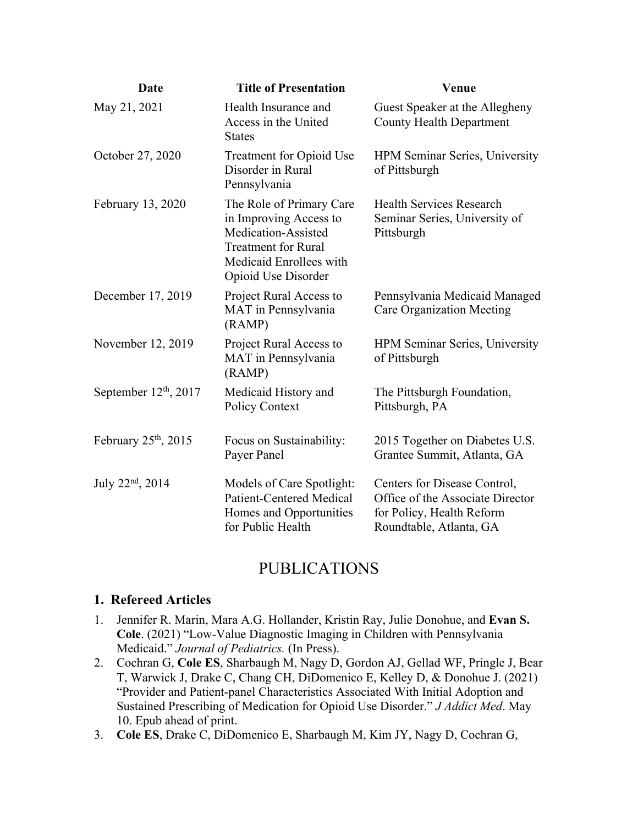| <b>Date</b>                  | <b>Title of Presentation</b>                                                                                                                              | Venue                                                                                                                    |
|------------------------------|-----------------------------------------------------------------------------------------------------------------------------------------------------------|--------------------------------------------------------------------------------------------------------------------------|
| May 21, 2021                 | Health Insurance and<br>Access in the United<br><b>States</b>                                                                                             | Guest Speaker at the Allegheny<br><b>County Health Department</b>                                                        |
| October 27, 2020             | <b>Treatment for Opioid Use</b><br>Disorder in Rural<br>Pennsylvania                                                                                      | HPM Seminar Series, University<br>of Pittsburgh                                                                          |
| February 13, 2020            | The Role of Primary Care<br>in Improving Access to<br>Medication-Assisted<br><b>Treatment for Rural</b><br>Medicaid Enrollees with<br>Opioid Use Disorder | <b>Health Services Research</b><br>Seminar Series, University of<br>Pittsburgh                                           |
| December 17, 2019            | Project Rural Access to<br>MAT in Pennsylvania<br>(RAMP)                                                                                                  | Pennsylvania Medicaid Managed<br><b>Care Organization Meeting</b>                                                        |
| November 12, 2019            | Project Rural Access to<br>MAT in Pennsylvania<br>(RAMP)                                                                                                  | HPM Seminar Series, University<br>of Pittsburgh                                                                          |
| September $12th$ , 2017      | Medicaid History and<br>Policy Context                                                                                                                    | The Pittsburgh Foundation,<br>Pittsburgh, PA                                                                             |
| February $25th$ , 2015       | Focus on Sustainability:<br>Payer Panel                                                                                                                   | 2015 Together on Diabetes U.S.<br>Grantee Summit, Atlanta, GA                                                            |
| July 22 <sup>nd</sup> , 2014 | Models of Care Spotlight:<br>Patient-Centered Medical<br>Homes and Opportunities<br>for Public Health                                                     | Centers for Disease Control,<br>Office of the Associate Director<br>for Policy, Health Reform<br>Roundtable, Atlanta, GA |

## PUBLICATIONS

#### **1. Refereed Articles**

- 1. Jennifer R. Marin, Mara A.G. Hollander, Kristin Ray, Julie Donohue, and **Evan S. Cole**. (2021) "Low-Value Diagnostic Imaging in Children with Pennsylvania Medicaid." *Journal of Pediatrics.* (In Press).
- 2. Cochran G, **Cole ES**, Sharbaugh M, Nagy D, Gordon AJ, Gellad WF, Pringle J, Bear T, Warwick J, Drake C, Chang CH, DiDomenico E, Kelley D, & Donohue J. (2021) "Provider and Patient-panel Characteristics Associated With Initial Adoption and Sustained Prescribing of Medication for Opioid Use Disorder." *J Addict Med*. May 10. Epub ahead of print.
- 3. **Cole ES**, Drake C, DiDomenico E, Sharbaugh M, Kim JY, Nagy D, Cochran G,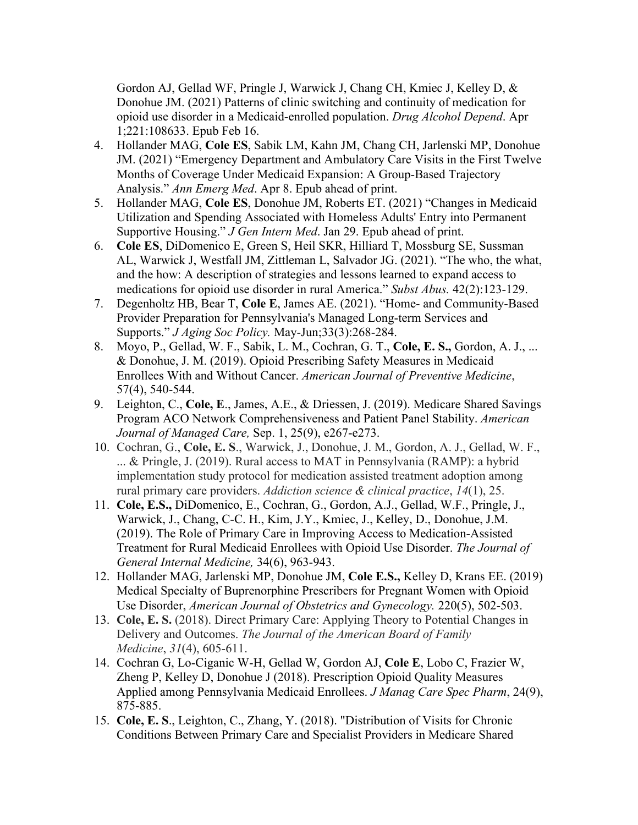Gordon AJ, Gellad WF, Pringle J, Warwick J, Chang CH, Kmiec J, Kelley D, & Donohue JM. (2021) Patterns of clinic switching and continuity of medication for opioid use disorder in a Medicaid-enrolled population. *Drug Alcohol Depend*. Apr 1;221:108633. Epub Feb 16.

- 4. Hollander MAG, **Cole ES**, Sabik LM, Kahn JM, Chang CH, Jarlenski MP, Donohue JM. (2021) "Emergency Department and Ambulatory Care Visits in the First Twelve Months of Coverage Under Medicaid Expansion: A Group-Based Trajectory Analysis." *Ann Emerg Med*. Apr 8. Epub ahead of print.
- 5. Hollander MAG, **Cole ES**, Donohue JM, Roberts ET. (2021) "Changes in Medicaid Utilization and Spending Associated with Homeless Adults' Entry into Permanent Supportive Housing." *J Gen Intern Med*. Jan 29. Epub ahead of print.
- 6. **Cole ES**, DiDomenico E, Green S, Heil SKR, Hilliard T, Mossburg SE, Sussman AL, Warwick J, Westfall JM, Zittleman L, Salvador JG. (2021). "The who, the what, and the how: A description of strategies and lessons learned to expand access to medications for opioid use disorder in rural America." *Subst Abus.* 42(2):123-129.
- 7. Degenholtz HB, Bear T, **Cole E**, James AE. (2021). "Home- and Community-Based Provider Preparation for Pennsylvania's Managed Long-term Services and Supports." *J Aging Soc Policy.* May-Jun;33(3):268-284.
- 8. Moyo, P., Gellad, W. F., Sabik, L. M., Cochran, G. T., **Cole, E. S.,** Gordon, A. J., ... & Donohue, J. M. (2019). Opioid Prescribing Safety Measures in Medicaid Enrollees With and Without Cancer. *American Journal of Preventive Medicine*, 57(4), 540-544.
- 9. Leighton, C., **Cole, E**., James, A.E., & Driessen, J. (2019). Medicare Shared Savings Program ACO Network Comprehensiveness and Patient Panel Stability. *American Journal of Managed Care,* Sep. 1, 25(9), e267-e273.
- 10. Cochran, G., **Cole, E. S**., Warwick, J., Donohue, J. M., Gordon, A. J., Gellad, W. F., ... & Pringle, J. (2019). Rural access to MAT in Pennsylvania (RAMP): a hybrid implementation study protocol for medication assisted treatment adoption among rural primary care providers. *Addiction science & clinical practice*, *14*(1), 25.
- 11. **Cole, E.S.,** DiDomenico, E., Cochran, G., Gordon, A.J., Gellad, W.F., Pringle, J., Warwick, J., Chang, C-C. H., Kim, J.Y., Kmiec, J., Kelley, D., Donohue, J.M. (2019). The Role of Primary Care in Improving Access to Medication-Assisted Treatment for Rural Medicaid Enrollees with Opioid Use Disorder. *The Journal of General Internal Medicine,* 34(6), 963-943.
- 12. Hollander MAG, Jarlenski MP, Donohue JM, **Cole E.S.,** Kelley D, Krans EE. (2019) Medical Specialty of Buprenorphine Prescribers for Pregnant Women with Opioid Use Disorder, *American Journal of Obstetrics and Gynecology.* 220(5), 502-503.
- 13. **Cole, E. S.** (2018). Direct Primary Care: Applying Theory to Potential Changes in Delivery and Outcomes. *The Journal of the American Board of Family Medicine*, *31*(4), 605-611.
- 14. Cochran G, Lo-Ciganic W-H, Gellad W, Gordon AJ, **Cole E**, Lobo C, Frazier W, Zheng P, Kelley D, Donohue J (2018). Prescription Opioid Quality Measures Applied among Pennsylvania Medicaid Enrollees. *J Manag Care Spec Pharm*, 24(9), 875-885.
- 15. **Cole, E. S**., Leighton, C., Zhang, Y. (2018). "Distribution of Visits for Chronic Conditions Between Primary Care and Specialist Providers in Medicare Shared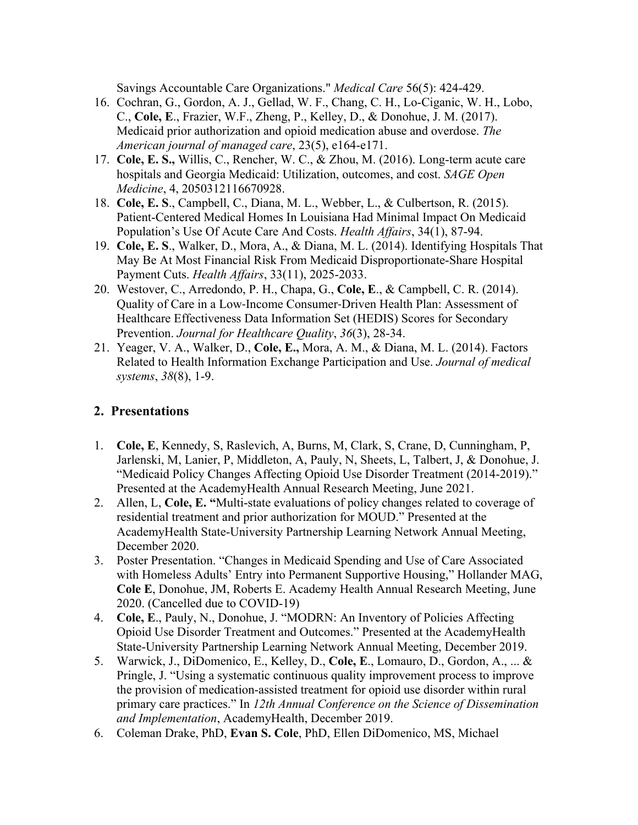Savings Accountable Care Organizations." *Medical Care* 56(5): 424-429.

- 16. Cochran, G., Gordon, A. J., Gellad, W. F., Chang, C. H., Lo-Ciganic, W. H., Lobo, C., **Cole, E**., Frazier, W.F., Zheng, P., Kelley, D., & Donohue, J. M. (2017). Medicaid prior authorization and opioid medication abuse and overdose. *The American journal of managed care*, 23(5), e164-e171.
- 17. **Cole, E. S.,** Willis, C., Rencher, W. C., & Zhou, M. (2016). Long-term acute care hospitals and Georgia Medicaid: Utilization, outcomes, and cost. *SAGE Open Medicine*, 4, 2050312116670928.
- 18. **Cole, E. S**., Campbell, C., Diana, M. L., Webber, L., & Culbertson, R. (2015). Patient-Centered Medical Homes In Louisiana Had Minimal Impact On Medicaid Population's Use Of Acute Care And Costs. *Health Affairs*, 34(1), 87-94.
- 19. **Cole, E. S**., Walker, D., Mora, A., & Diana, M. L. (2014). Identifying Hospitals That May Be At Most Financial Risk From Medicaid Disproportionate-Share Hospital Payment Cuts. *Health Affairs*, 33(11), 2025-2033.
- 20. Westover, C., Arredondo, P. H., Chapa, G., **Cole, E**., & Campbell, C. R. (2014). Quality of Care in a Low-Income Consumer-Driven Health Plan: Assessment of Healthcare Effectiveness Data Information Set (HEDIS) Scores for Secondary Prevention. *Journal for Healthcare Quality*, *36*(3), 28-34.
- 21. Yeager, V. A., Walker, D., **Cole, E.,** Mora, A. M., & Diana, M. L. (2014). Factors Related to Health Information Exchange Participation and Use. *Journal of medical systems*, *38*(8), 1-9.

### **2. Presentations**

- 1. **Cole, E**, Kennedy, S, Raslevich, A, Burns, M, Clark, S, Crane, D, Cunningham, P, Jarlenski, M, Lanier, P, Middleton, A, Pauly, N, Sheets, L, Talbert, J, & Donohue, J. "Medicaid Policy Changes Affecting Opioid Use Disorder Treatment (2014-2019)." Presented at the AcademyHealth Annual Research Meeting, June 2021.
- 2. Allen, L, **Cole, E. "**Multi-state evaluations of policy changes related to coverage of residential treatment and prior authorization for MOUD." Presented at the AcademyHealth State-University Partnership Learning Network Annual Meeting, December 2020.
- 3. Poster Presentation. "Changes in Medicaid Spending and Use of Care Associated with Homeless Adults' Entry into Permanent Supportive Housing," Hollander MAG, **Cole E**, Donohue, JM, Roberts E. Academy Health Annual Research Meeting, June 2020. (Cancelled due to COVID-19)
- 4. **Cole, E**., Pauly, N., Donohue, J. "MODRN: An Inventory of Policies Affecting Opioid Use Disorder Treatment and Outcomes." Presented at the AcademyHealth State-University Partnership Learning Network Annual Meeting, December 2019.
- 5. Warwick, J., DiDomenico, E., Kelley, D., **Cole, E**., Lomauro, D., Gordon, A., ... & Pringle, J. "Using a systematic continuous quality improvement process to improve the provision of medication-assisted treatment for opioid use disorder within rural primary care practices." In *12th Annual Conference on the Science of Dissemination and Implementation*, AcademyHealth, December 2019.
- 6. Coleman Drake, PhD, **Evan S. Cole**, PhD, Ellen DiDomenico, MS, Michael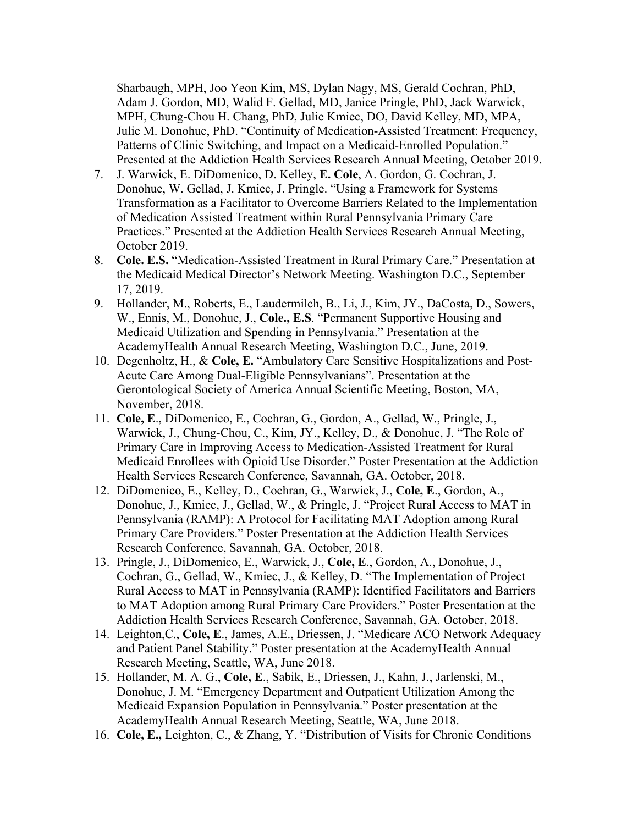Sharbaugh, MPH, Joo Yeon Kim, MS, Dylan Nagy, MS, Gerald Cochran, PhD, Adam J. Gordon, MD, Walid F. Gellad, MD, Janice Pringle, PhD, Jack Warwick, MPH, Chung-Chou H. Chang, PhD, Julie Kmiec, DO, David Kelley, MD, MPA, Julie M. Donohue, PhD. "Continuity of Medication-Assisted Treatment: Frequency, Patterns of Clinic Switching, and Impact on a Medicaid-Enrolled Population." Presented at the Addiction Health Services Research Annual Meeting, October 2019.

- 7. J. Warwick, E. DiDomenico, D. Kelley, **E. Cole**, A. Gordon, G. Cochran, J. Donohue, W. Gellad, J. Kmiec, J. Pringle. "Using a Framework for Systems Transformation as a Facilitator to Overcome Barriers Related to the Implementation of Medication Assisted Treatment within Rural Pennsylvania Primary Care Practices." Presented at the Addiction Health Services Research Annual Meeting, October 2019.
- 8. **Cole. E.S.** "Medication-Assisted Treatment in Rural Primary Care." Presentation at the Medicaid Medical Director's Network Meeting. Washington D.C., September 17, 2019.
- 9. Hollander, M., Roberts, E., Laudermilch, B., Li, J., Kim, JY., DaCosta, D., Sowers, W., Ennis, M., Donohue, J., **Cole., E.S**. "Permanent Supportive Housing and Medicaid Utilization and Spending in Pennsylvania." Presentation at the AcademyHealth Annual Research Meeting, Washington D.C., June, 2019.
- 10. Degenholtz, H., & **Cole, E.** "Ambulatory Care Sensitive Hospitalizations and Post-Acute Care Among Dual-Eligible Pennsylvanians". Presentation at the Gerontological Society of America Annual Scientific Meeting, Boston, MA, November, 2018.
- 11. **Cole, E**., DiDomenico, E., Cochran, G., Gordon, A., Gellad, W., Pringle, J., Warwick, J., Chung-Chou, C., Kim, JY., Kelley, D., & Donohue, J. "The Role of Primary Care in Improving Access to Medication-Assisted Treatment for Rural Medicaid Enrollees with Opioid Use Disorder." Poster Presentation at the Addiction Health Services Research Conference, Savannah, GA. October, 2018.
- 12. DiDomenico, E., Kelley, D., Cochran, G., Warwick, J., **Cole, E**., Gordon, A., Donohue, J., Kmiec, J., Gellad, W., & Pringle, J. "Project Rural Access to MAT in Pennsylvania (RAMP): A Protocol for Facilitating MAT Adoption among Rural Primary Care Providers." Poster Presentation at the Addiction Health Services Research Conference, Savannah, GA. October, 2018.
- 13. Pringle, J., DiDomenico, E., Warwick, J., **Cole, E**., Gordon, A., Donohue, J., Cochran, G., Gellad, W., Kmiec, J., & Kelley, D. "The Implementation of Project Rural Access to MAT in Pennsylvania (RAMP): Identified Facilitators and Barriers to MAT Adoption among Rural Primary Care Providers." Poster Presentation at the Addiction Health Services Research Conference, Savannah, GA. October, 2018.
- 14. Leighton,C., **Cole, E**., James, A.E., Driessen, J. "Medicare ACO Network Adequacy and Patient Panel Stability." Poster presentation at the AcademyHealth Annual Research Meeting, Seattle, WA, June 2018.
- 15. Hollander, M. A. G., **Cole, E**., Sabik, E., Driessen, J., Kahn, J., Jarlenski, M., Donohue, J. M. "Emergency Department and Outpatient Utilization Among the Medicaid Expansion Population in Pennsylvania." Poster presentation at the AcademyHealth Annual Research Meeting, Seattle, WA, June 2018.
- 16. **Cole, E.,** Leighton, C., & Zhang, Y. "Distribution of Visits for Chronic Conditions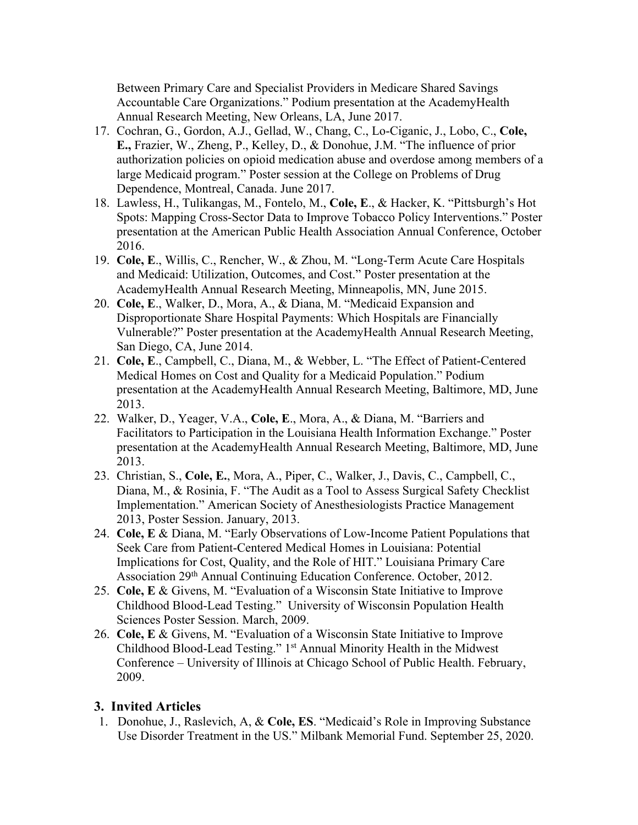Between Primary Care and Specialist Providers in Medicare Shared Savings Accountable Care Organizations." Podium presentation at the AcademyHealth Annual Research Meeting, New Orleans, LA, June 2017.

- 17. Cochran, G., Gordon, A.J., Gellad, W., Chang, C., Lo-Ciganic, J., Lobo, C., **Cole, E.,** Frazier, W., Zheng, P., Kelley, D., & Donohue, J.M. "The influence of prior authorization policies on opioid medication abuse and overdose among members of a large Medicaid program." Poster session at the College on Problems of Drug Dependence, Montreal, Canada. June 2017.
- 18. Lawless, H., Tulikangas, M., Fontelo, M., **Cole, E**., & Hacker, K. "Pittsburgh's Hot Spots: Mapping Cross-Sector Data to Improve Tobacco Policy Interventions." Poster presentation at the American Public Health Association Annual Conference, October 2016.
- 19. **Cole, E**., Willis, C., Rencher, W., & Zhou, M. "Long-Term Acute Care Hospitals and Medicaid: Utilization, Outcomes, and Cost." Poster presentation at the AcademyHealth Annual Research Meeting, Minneapolis, MN, June 2015.
- 20. **Cole, E**., Walker, D., Mora, A., & Diana, M. "Medicaid Expansion and Disproportionate Share Hospital Payments: Which Hospitals are Financially Vulnerable?" Poster presentation at the AcademyHealth Annual Research Meeting, San Diego, CA, June 2014.
- 21. **Cole, E**., Campbell, C., Diana, M., & Webber, L. "The Effect of Patient-Centered Medical Homes on Cost and Quality for a Medicaid Population." Podium presentation at the AcademyHealth Annual Research Meeting, Baltimore, MD, June 2013.
- 22. Walker, D., Yeager, V.A., **Cole, E**., Mora, A., & Diana, M. "Barriers and Facilitators to Participation in the Louisiana Health Information Exchange." Poster presentation at the AcademyHealth Annual Research Meeting, Baltimore, MD, June 2013.
- 23. Christian, S., **Cole, E.**, Mora, A., Piper, C., Walker, J., Davis, C., Campbell, C., Diana, M., & Rosinia, F. "The Audit as a Tool to Assess Surgical Safety Checklist Implementation." American Society of Anesthesiologists Practice Management 2013, Poster Session. January, 2013.
- 24. **Cole, E** & Diana, M. "Early Observations of Low-Income Patient Populations that Seek Care from Patient-Centered Medical Homes in Louisiana: Potential Implications for Cost, Quality, and the Role of HIT." Louisiana Primary Care Association 29th Annual Continuing Education Conference. October, 2012.
- 25. **Cole, E** & Givens, M. "Evaluation of a Wisconsin State Initiative to Improve Childhood Blood-Lead Testing." University of Wisconsin Population Health Sciences Poster Session. March, 2009.
- 26. **Cole, E** & Givens, M. "Evaluation of a Wisconsin State Initiative to Improve Childhood Blood-Lead Testing." 1st Annual Minority Health in the Midwest Conference – University of Illinois at Chicago School of Public Health. February, 2009.

#### **3. Invited Articles**

1. Donohue, J., Raslevich, A, & **Cole, ES**. "Medicaid's Role in Improving Substance Use Disorder Treatment in the US." Milbank Memorial Fund. September 25, 2020.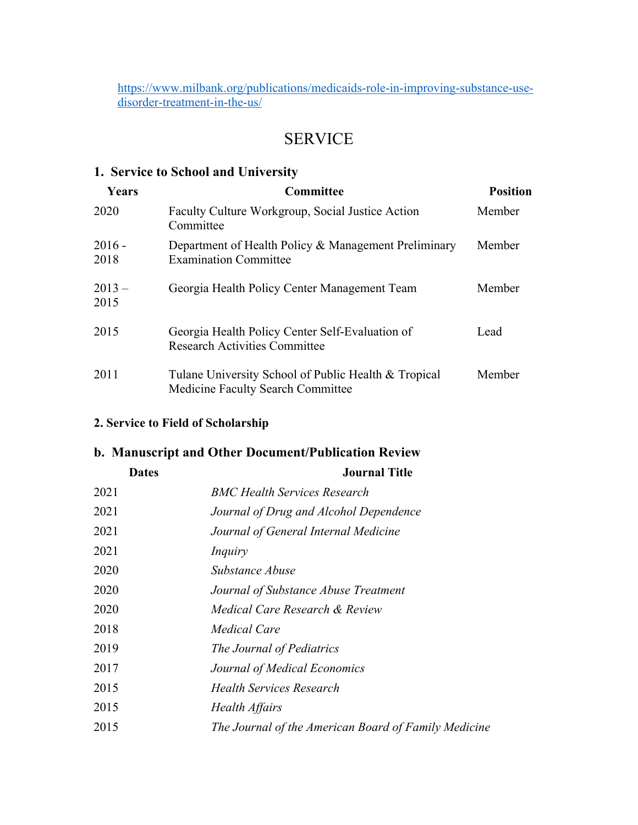https://www.milbank.org/publications/medicaids-role-in-improving-substance-usedisorder-treatment-in-the-us/

## SERVICE

### **1. Service to School and University**

| <b>Years</b>     | <b>Committee</b>                                                                          | <b>Position</b> |
|------------------|-------------------------------------------------------------------------------------------|-----------------|
| 2020             | Faculty Culture Workgroup, Social Justice Action<br>Committee                             | Member          |
| $2016 -$<br>2018 | Department of Health Policy & Management Preliminary<br><b>Examination Committee</b>      | Member          |
| $2013-$<br>2015  | Georgia Health Policy Center Management Team                                              | Member          |
| 2015             | Georgia Health Policy Center Self-Evaluation of<br><b>Research Activities Committee</b>   | Lead            |
| 2011             | Tulane University School of Public Health & Tropical<br>Medicine Faculty Search Committee | Member          |

### **2. Service to Field of Scholarship**

### **b. Manuscript and Other Document/Publication Review**

| <b>Dates</b> | <b>Journal Title</b>                                 |  |  |
|--------------|------------------------------------------------------|--|--|
| 2021         | <b>BMC Health Services Research</b>                  |  |  |
| 2021         | Journal of Drug and Alcohol Dependence               |  |  |
| 2021         | Journal of General Internal Medicine                 |  |  |
| 2021         | Inquiry                                              |  |  |
| 2020         | Substance Abuse                                      |  |  |
| 2020         | Journal of Substance Abuse Treatment                 |  |  |
| 2020         | Medical Care Research & Review                       |  |  |
| 2018         | Medical Care                                         |  |  |
| 2019         | The Journal of Pediatrics                            |  |  |
| 2017         | Journal of Medical Economics                         |  |  |
| 2015         | <b>Health Services Research</b>                      |  |  |
| 2015         | Health Affairs                                       |  |  |
| 2015         | The Journal of the American Board of Family Medicine |  |  |
|              |                                                      |  |  |